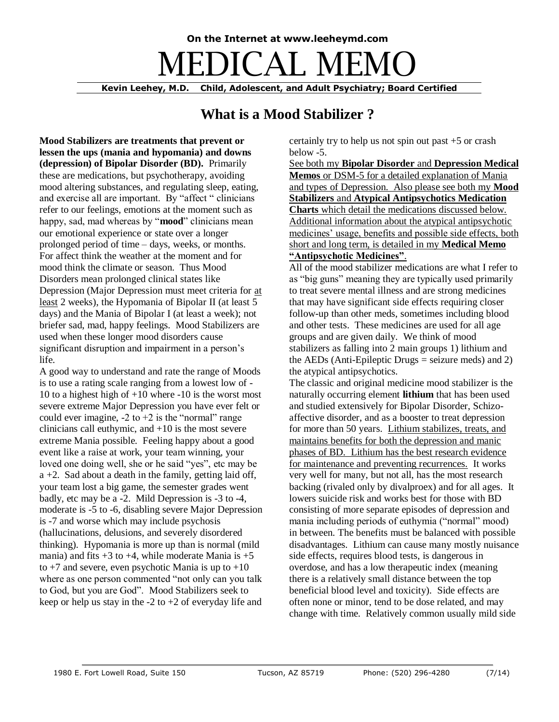# **On the Internet at www.leeheymd.com**  $\exists$ DICAL M

**Kevin Leehey, M.D. Child, Adolescent, and Adult Psychiatry; Board Certified**

## **What is a Mood Stabilizer ?**

**Mood Stabilizers are treatments that prevent or lessen the ups (mania and hypomania) and downs (depression) of Bipolar Disorder (BD).** Primarily these are medications, but psychotherapy, avoiding mood altering substances, and regulating sleep, eating, and exercise all are important. By "affect " clinicians refer to our feelings, emotions at the moment such as happy, sad, mad whereas by "**mood**" clinicians mean our emotional experience or state over a longer prolonged period of time – days, weeks, or months. For affect think the weather at the moment and for mood think the climate or season. Thus Mood Disorders mean prolonged clinical states like Depression (Major Depression must meet criteria for at least 2 weeks), the Hypomania of Bipolar II (at least 5 days) and the Mania of Bipolar I (at least a week); not briefer sad, mad, happy feelings. Mood Stabilizers are used when these longer mood disorders cause significant disruption and impairment in a person's life.

A good way to understand and rate the range of Moods is to use a rating scale ranging from a lowest low of - 10 to a highest high of  $+10$  where  $-10$  is the worst most severe extreme Major Depression you have ever felt or could ever imagine,  $-2$  to  $+2$  is the "normal" range clinicians call euthymic, and  $+10$  is the most severe extreme Mania possible. Feeling happy about a good event like a raise at work, your team winning, your loved one doing well, she or he said "yes", etc may be  $a +2$ . Sad about a death in the family, getting laid off, your team lost a big game, the semester grades went badly, etc may be a -2. Mild Depression is -3 to -4, moderate is -5 to -6, disabling severe Major Depression is -7 and worse which may include psychosis (hallucinations, delusions, and severely disordered thinking). Hypomania is more up than is normal (mild mania) and fits  $+3$  to  $+4$ , while moderate Mania is  $+5$ to  $+7$  and severe, even psychotic Mania is up to  $+10$ where as one person commented "not only can you talk to God, but you are God". Mood Stabilizers seek to keep or help us stay in the  $-2$  to  $+2$  of everyday life and

certainly try to help us not spin out past +5 or crash below -5.

See both my **Bipolar Disorder** and **Depression Medical Memos** or DSM-5 for a detailed explanation of Mania and types of Depression. Also please see both my **Mood Stabilizers** and **Atypical Antipsychotics Medication Charts** which detail the medications discussed below. Additional information about the atypical antipsychotic medicines' usage, benefits and possible side effects, both short and long term, is detailed in my **Medical Memo "Antipsychotic Medicines"**.

All of the mood stabilizer medications are what I refer to as "big guns" meaning they are typically used primarily to treat severe mental illness and are strong medicines that may have significant side effects requiring closer follow-up than other meds, sometimes including blood and other tests. These medicines are used for all age groups and are given daily. We think of mood stabilizers as falling into 2 main groups 1) lithium and the AEDs (Anti-Epileptic Drugs  $=$  seizure meds) and 2) the atypical antipsychotics.

The classic and original medicine mood stabilizer is the naturally occurring element **lithium** that has been used and studied extensively for Bipolar Disorder, Schizoaffective disorder, and as a booster to treat depression for more than 50 years. Lithium stabilizes, treats, and maintains benefits for both the depression and manic phases of BD. Lithium has the best research evidence for maintenance and preventing recurrences. It works very well for many, but not all, has the most research backing (rivaled only by divalproex) and for all ages. It lowers suicide risk and works best for those with BD consisting of more separate episodes of depression and mania including periods of euthymia ("normal" mood) in between. The benefits must be balanced with possible disadvantages. Lithium can cause many mostly nuisance side effects, requires blood tests, is dangerous in overdose, and has a low therapeutic index (meaning there is a relatively small distance between the top beneficial blood level and toxicity). Side effects are often none or minor, tend to be dose related, and may change with time. Relatively common usually mild side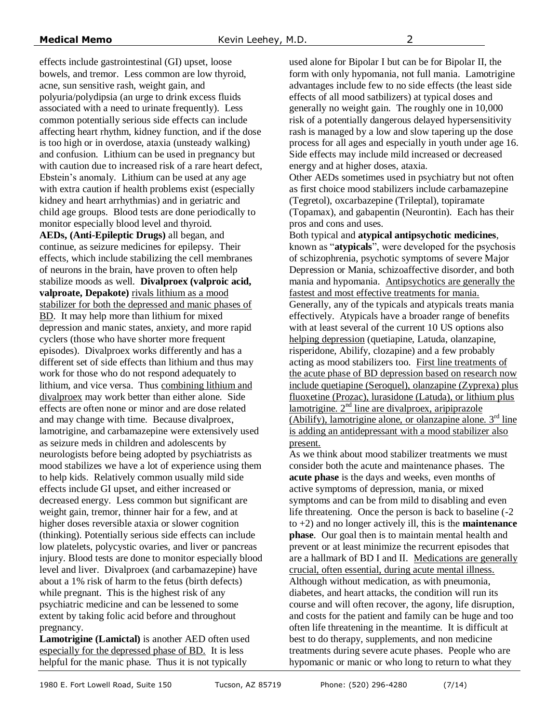effects include gastrointestinal (GI) upset, loose bowels, and tremor. Less common are low thyroid, acne, sun sensitive rash, weight gain, and polyuria/polydipsia (an urge to drink excess fluids associated with a need to urinate frequently). Less common potentially serious side effects can include affecting heart rhythm, kidney function, and if the dose is too high or in overdose, ataxia (unsteady walking) and confusion. Lithium can be used in pregnancy but with caution due to increased risk of a rare heart defect, Ebstein's anomaly. Lithium can be used at any age with extra caution if health problems exist (especially kidney and heart arrhythmias) and in geriatric and child age groups. Blood tests are done periodically to monitor especially blood level and thyroid. **AEDs, (Anti-Epileptic Drugs)** all began, and continue, as seizure medicines for epilepsy. Their effects, which include stabilizing the cell membranes of neurons in the brain, have proven to often help stabilize moods as well. **Divalproex (valproic acid, valproate, Depakote)** rivals lithium as a mood stabilizer for both the depressed and manic phases of BD. It may help more than lithium for mixed depression and manic states, anxiety, and more rapid cyclers (those who have shorter more frequent episodes). Divalproex works differently and has a different set of side effects than lithium and thus may work for those who do not respond adequately to lithium, and vice versa. Thus combining lithium and divalproex may work better than either alone. Side effects are often none or minor and are dose related and may change with time. Because divalproex, lamotrigine, and carbamazepine were extensively used as seizure meds in children and adolescents by neurologists before being adopted by psychiatrists as mood stabilizes we have a lot of experience using them to help kids. Relatively common usually mild side effects include GI upset, and either increased or decreased energy. Less common but significant are weight gain, tremor, thinner hair for a few, and at higher doses reversible ataxia or slower cognition (thinking). Potentially serious side effects can include low platelets, polycystic ovaries, and liver or pancreas injury. Blood tests are done to monitor especially blood level and liver. Divalproex (and carbamazepine) have about a 1% risk of harm to the fetus (birth defects) while pregnant. This is the highest risk of any psychiatric medicine and can be lessened to some extent by taking folic acid before and throughout pregnancy.

**Lamotrigine (Lamictal)** is another AED often used especially for the depressed phase of BD. It is less helpful for the manic phase. Thus it is not typically

used alone for Bipolar I but can be for Bipolar II, the form with only hypomania, not full mania. Lamotrigine advantages include few to no side effects (the least side effects of all mood satbilizers) at typical doses and generally no weight gain. The roughly one in 10,000 risk of a potentially dangerous delayed hypersensitivity rash is managed by a low and slow tapering up the dose process for all ages and especially in youth under age 16. Side effects may include mild increased or decreased energy and at higher doses, ataxia.

Other AEDs sometimes used in psychiatry but not often as first choice mood stabilizers include carbamazepine (Tegretol), oxcarbazepine (Trileptal), topiramate (Topamax), and gabapentin (Neurontin). Each has their pros and cons and uses.

Both typical and **atypical antipsychotic medicines**, known as "**atypicals**", were developed for the psychosis of schizophrenia, psychotic symptoms of severe Major Depression or Mania, schizoaffective disorder, and both mania and hypomania. Antipsychotics are generally the fastest and most effective treatments for mania. Generally, any of the typicals and atypicals treats mania effectively. Atypicals have a broader range of benefits with at least several of the current 10 US options also helping depression (quetiapine, Latuda, olanzapine, risperidone, Abilify, clozapine) and a few probably acting as mood stabilizers too. First line treatments of the acute phase of BD depression based on research now include quetiapine (Seroquel), olanzapine (Zyprexa) plus fluoxetine (Prozac), lurasidone (Latuda), or lithium plus lamotrigine. 2<sup>nd</sup> line are divalproex, aripiprazole  $(Ability)$ , lamotrigine alone, or olanzapine alone.  $3<sup>rd</sup>$  line is adding an antidepressant with a mood stabilizer also present.

As we think about mood stabilizer treatments we must consider both the acute and maintenance phases. The **acute phase** is the days and weeks, even months of active symptoms of depression, mania, or mixed symptoms and can be from mild to disabling and even life threatening. Once the person is back to baseline (-2 to +2) and no longer actively ill, this is the **maintenance phase**. Our goal then is to maintain mental health and prevent or at least minimize the recurrent episodes that are a hallmark of BD I and II. Medications are generally crucial, often essential, during acute mental illness. Although without medication, as with pneumonia, diabetes, and heart attacks, the condition will run its course and will often recover, the agony, life disruption, and costs for the patient and family can be huge and too often life threatening in the meantime. It is difficult at best to do therapy, supplements, and non medicine treatments during severe acute phases. People who are hypomanic or manic or who long to return to what they